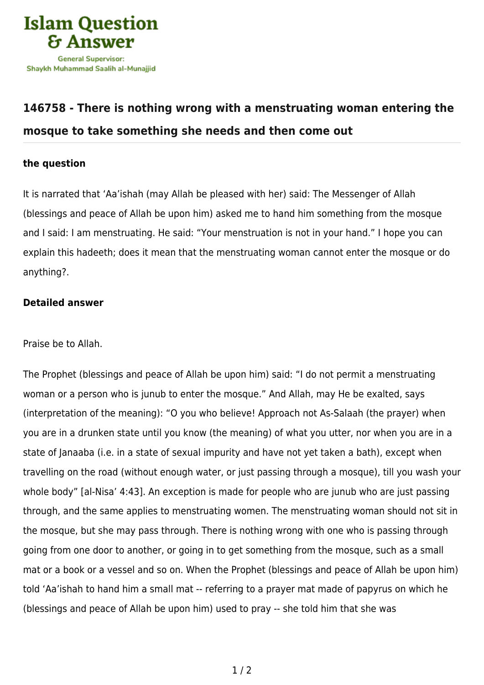

## **[146758 - There is nothing wrong with a menstruating woman entering the](https://islamqa.com/en/answers/146758/there-is-nothing-wrong-with-a-menstruating-woman-entering-the-mosque-to-take-something-she-needs-and-then-come-out) [mosque to take something she needs and then come out](https://islamqa.com/en/answers/146758/there-is-nothing-wrong-with-a-menstruating-woman-entering-the-mosque-to-take-something-she-needs-and-then-come-out)**

## **the question**

It is narrated that 'Aa'ishah (may Allah be pleased with her) said: The Messenger of Allah (blessings and peace of Allah be upon him) asked me to hand him something from the mosque and I said: I am menstruating. He said: "Your menstruation is not in your hand." I hope you can explain this hadeeth; does it mean that the menstruating woman cannot enter the mosque or do anything?.

## **Detailed answer**

Praise be to Allah.

The Prophet (blessings and peace of Allah be upon him) said: "I do not permit a menstruating woman or a person who is junub to enter the mosque." And Allah, may He be exalted, says (interpretation of the meaning): "O you who believe! Approach not As‑Salaah (the prayer) when you are in a drunken state until you know (the meaning) of what you utter, nor when you are in a state of Janaaba (i.e. in a state of sexual impurity and have not yet taken a bath), except when travelling on the road (without enough water, or just passing through a mosque), till you wash your whole body" [al-Nisa' 4:43]. An exception is made for people who are junub who are just passing through, and the same applies to menstruating women. The menstruating woman should not sit in the mosque, but she may pass through. There is nothing wrong with one who is passing through going from one door to another, or going in to get something from the mosque, such as a small mat or a book or a vessel and so on. When the Prophet (blessings and peace of Allah be upon him) told 'Aa'ishah to hand him a small mat -- referring to a prayer mat made of papyrus on which he (blessings and peace of Allah be upon him) used to pray -- she told him that she was